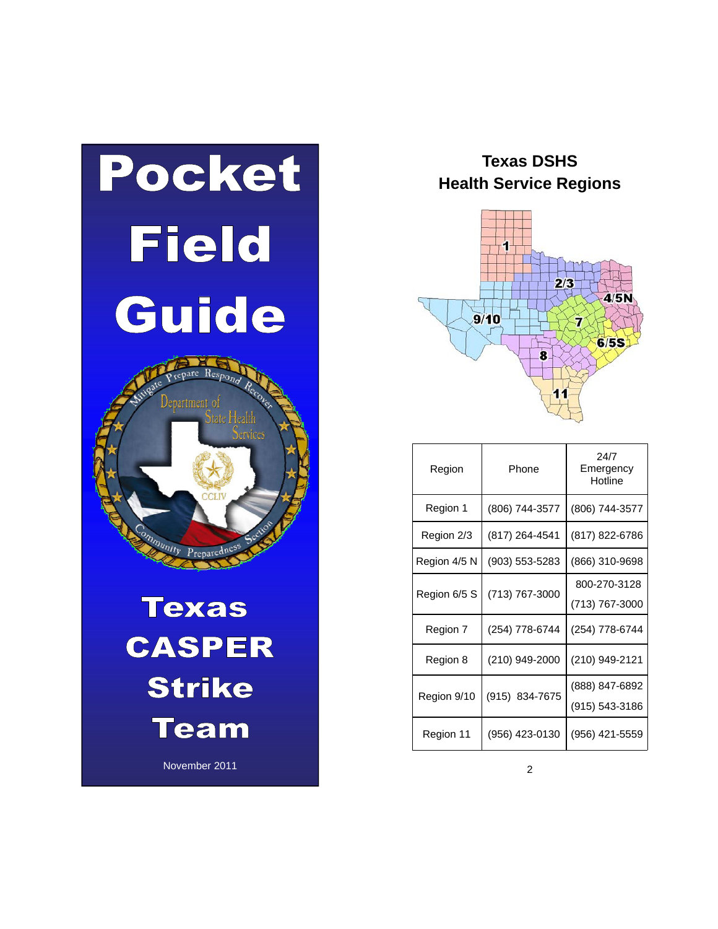

**Texas DSHS Health Service Regions** 



| Region       | Phone          | 24/7<br>Emergency<br>Hotline     |
|--------------|----------------|----------------------------------|
| Region 1     | (806) 744-3577 | (806) 744-3577                   |
| Region 2/3   | (817) 264-4541 | (817) 822-6786                   |
| Region 4/5 N | (903) 553-5283 | (866) 310-9698                   |
| Region 6/5 S | (713) 767-3000 | 800-270-3128<br>(713) 767-3000   |
| Region 7     | (254) 778-6744 | (254) 778-6744                   |
| Region 8     | (210) 949-2000 | (210) 949-2121                   |
| Region 9/10  | (915) 834-7675 | (888) 847-6892<br>(915) 543-3186 |
| Region 11    | (956) 423-0130 | (956) 421-5559                   |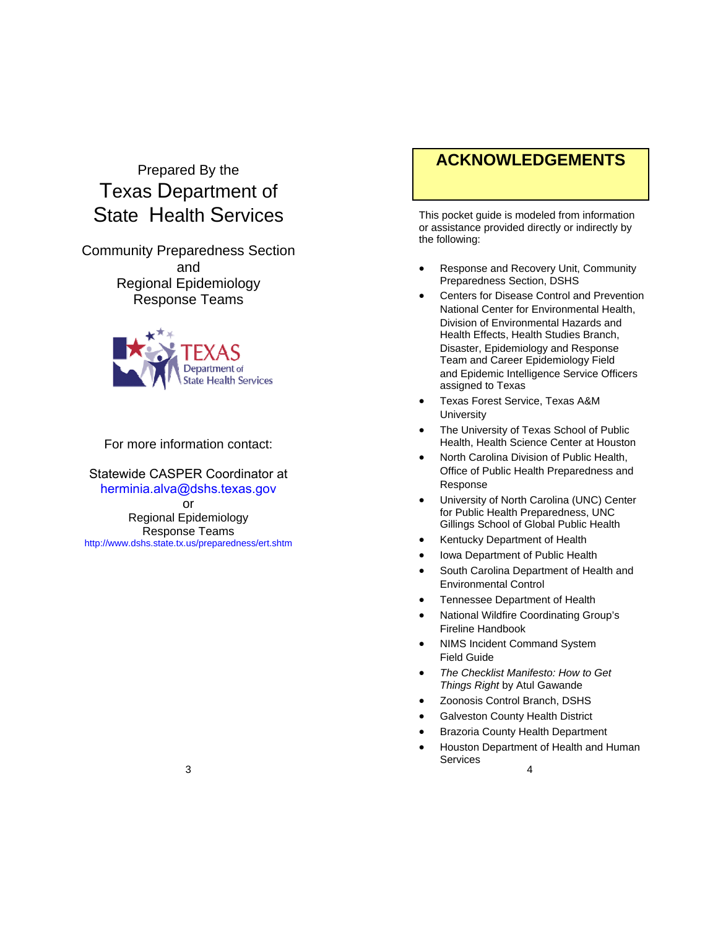# Prepared By the Texas Department of State Health Services

Community Preparedness Section and Regional Epidemiology Response Teams



For more information contact:

Statewide CASPER Coordinator at herminia.alva@dshs.texas.gov or Regional Epidemiology Response Teams http://www.dshs.state.tx.us/preparedness/ert.shtm

# **ACKNOWLEDGEMENTS**

This pocket guide is modeled from information or assistance provided directly or indirectly by the following:

- Response and Recovery Unit, Community Preparedness Section, DSHS
- Centers for Disease Control and Prevention National Center for Environmental Health, Division of Environmental Hazards and Health Effects, Health Studies Branch, Disaster, Epidemiology and Response Team and Career Epidemiology Field and Epidemic Intelligence Service Officers assigned to Texas
- Texas Forest Service, Texas A&M **University**
- The University of Texas School of Public Health, Health Science Center at Houston
- North Carolina Division of Public Health, Office of Public Health Preparedness and Response
- University of North Carolina (UNC) Center for Public Health Preparedness, UNC Gillings School of Global Public Health
- Kentucky Department of Health
- Iowa Department of Public Health
- South Carolina Department of Health and Environmental Control
- Tennessee Department of Health
- National Wildfire Coordinating Group's Fireline Handbook
- NIMS Incident Command System Field Guide
- *The Checklist Manifesto: How to Get Things Right* by Atul Gawande
- Zoonosis Control Branch, DSHS
- Galveston County Health District
- Brazoria County Health Department
- 4 Houston Department of Health and Human **Services**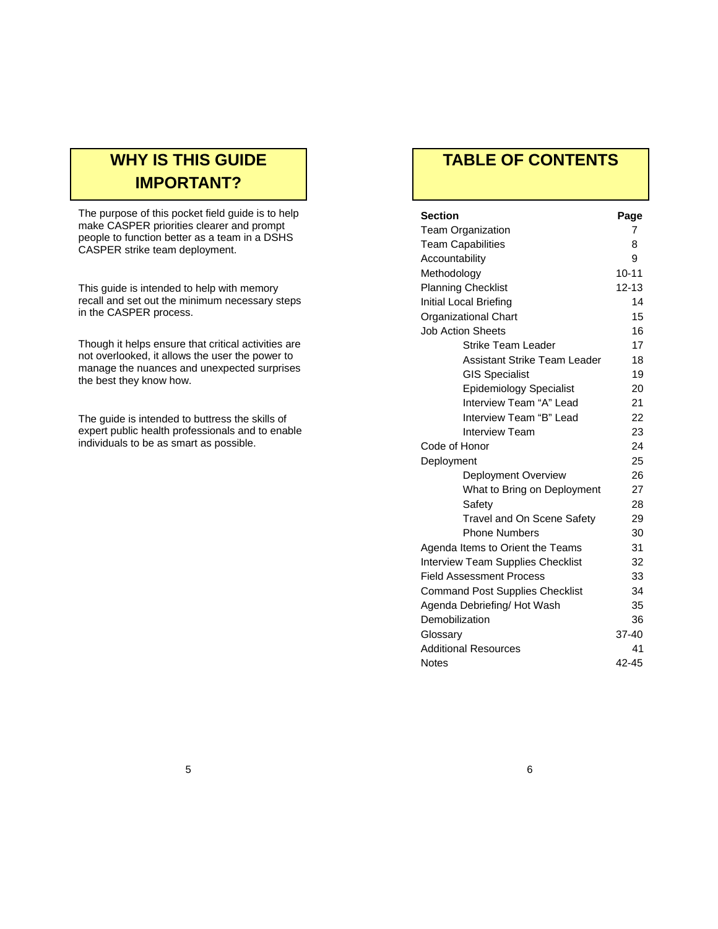# **WHY IS THIS GUIDE IMPORTANT?**

The purpose of this pocket field guide is to help make CASPER priorities clearer and prompt people to function better as a team in a DSHS CASPER strike team deployment.

This guide is intended to help with memory recall and set out the minimum necessary steps in the CASPER process.

Though it helps ensure that critical activities are not overlooked, it allows the user the power to manage the nuances and unexpected surprises the best they know how.

The guide is intended to buttress the skills of expert public health professionals and to enable individuals to be as smart as possible.

# **TABLE OF CONTENTS**

| Section                                  | Page      |
|------------------------------------------|-----------|
| <b>Team Organization</b>                 | 7         |
| <b>Team Capabilities</b>                 | 8         |
| Accountability                           | 9         |
| Methodology                              | $10 - 11$ |
| <b>Planning Checklist</b>                | $12 - 13$ |
| Initial Local Briefing                   | 14        |
| <b>Organizational Chart</b>              | 15        |
| <b>Job Action Sheets</b>                 | 16        |
| <b>Strike Team Leader</b>                | 17        |
| Assistant Strike Team Leader             | 18        |
| <b>GIS Specialist</b>                    | 19        |
| <b>Epidemiology Specialist</b>           | 20        |
| Interview Team "A" Lead                  | 21        |
| Interview Team "B" Lead                  | 22        |
| <b>Interview Team</b>                    | 23        |
| Code of Honor                            | 24        |
| Deployment                               | 25        |
| Deployment Overview                      | 26        |
| What to Bring on Deployment              | 27        |
| Safety                                   | 28        |
| <b>Travel and On Scene Safety</b>        | 29        |
| <b>Phone Numbers</b>                     | 30        |
| Agenda Items to Orient the Teams         | 31        |
| <b>Interview Team Supplies Checklist</b> | 32        |
| <b>Field Assessment Process</b>          | 33        |
| <b>Command Post Supplies Checklist</b>   | 34        |
| Agenda Debriefing/ Hot Wash              | 35        |
| Demobilization                           | 36        |
| Glossary                                 | 37-40     |
| <b>Additional Resources</b>              | 41        |
| <b>Notes</b>                             | 42-45     |
|                                          |           |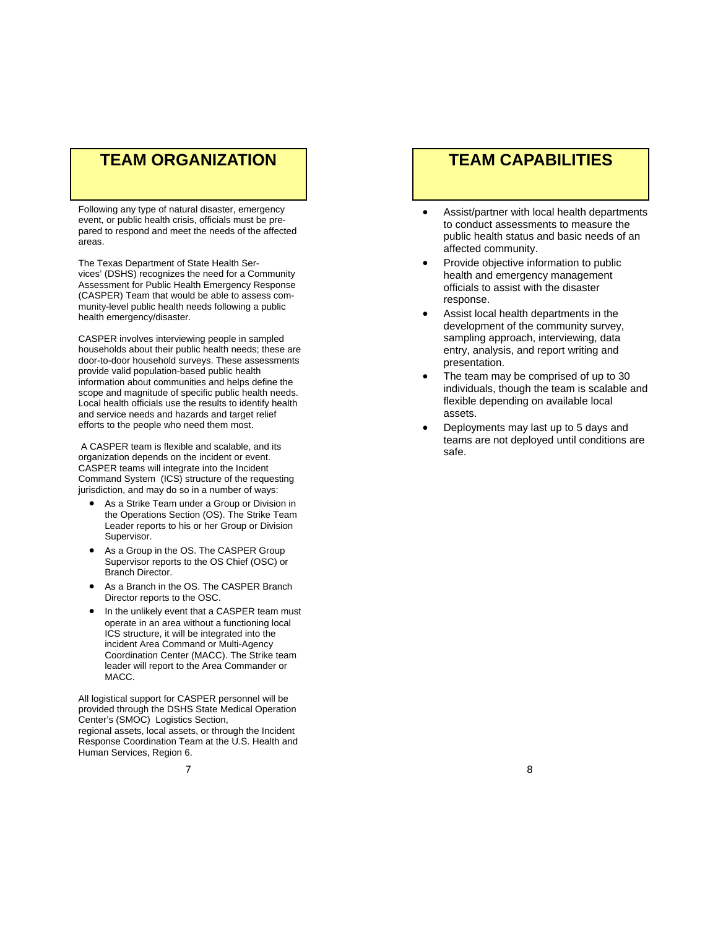# **TEAM ORGANIZATION**

Following any type of natural disaster, emergency event, or public health crisis, officials must be prepared to respond and meet the needs of the affected areas.

The Texas Department of State Health Services' (DSHS) recognizes the need for a Community Assessment for Public Health Emergency Response (CASPER) Team that would be able to assess community-level public health needs following a public health emergency/disaster.

CASPER involves interviewing people in sampled households about their public health needs; these are door-to-door household surveys. These assessments provide valid population-based public health information about communities and helps define the scope and magnitude of specific public health needs. Local health officials use the results to identify health and service needs and hazards and target relief efforts to the people who need them most.

 A CASPER team is flexible and scalable, and its organization depends on the incident or event. CASPER teams will integrate into the Incident Command System (ICS) structure of the requesting jurisdiction, and may do so in a number of ways:

- As a Strike Team under a Group or Division in the Operations Section (OS). The Strike Team Leader reports to his or her Group or Division Supervisor.
- As a Group in the OS. The CASPER Group Supervisor reports to the OS Chief (OSC) or Branch Director.
- As a Branch in the OS. The CASPER Branch Director reports to the OSC.
- In the unlikely event that a CASPER team must operate in an area without a functioning local ICS structure, it will be integrated into the incident Area Command or Multi-Agency Coordination Center (MACC). The Strike team leader will report to the Area Commander or MACC.

All logistical support for CASPER personnel will be provided through the DSHS State Medical Operation Center's (SMOC) Logistics Section, regional assets, local assets, or through the Incident Response Coordination Team at the U.S. Health and Human Services, Region 6.

# **TEAM CAPABILITIES**

- Assist/partner with local health departments to conduct assessments to measure the public health status and basic needs of an affected community.
- Provide objective information to public health and emergency management officials to assist with the disaster response.
- Assist local health departments in the development of the community survey, sampling approach, interviewing, data entry, analysis, and report writing and presentation.
- The team may be comprised of up to 30 individuals, though the team is scalable and flexible depending on available local assets.
- Deployments may last up to 5 days and teams are not deployed until conditions are safe.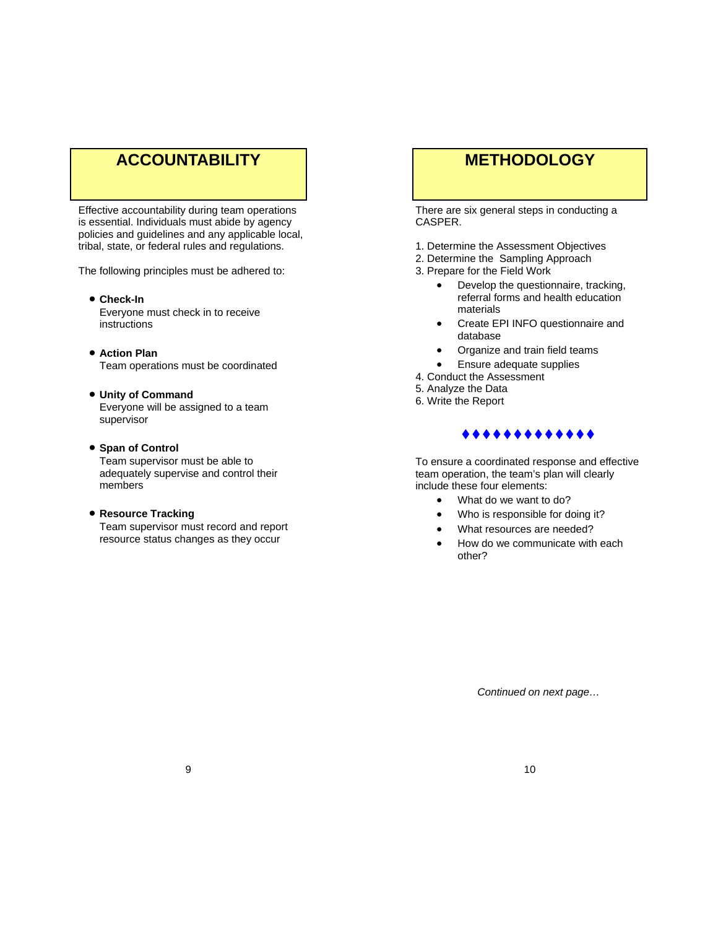# **ACCOUNTABILITY**

Effective accountability during team operations is essential. Individuals must abide by agency policies and guidelines and any applicable local, tribal, state, or federal rules and regulations.

The following principles must be adhered to:

**Check-In**

 Everyone must check in to receive instructions

- **Action Plan** Team operations must be coordinated
- **Unity of Command** Everyone will be assigned to a team supervisor
- **Span of Control**

Team supervisor must be able to adequately supervise and control their members

**Resource Tracking**

 Team supervisor must record and report resource status changes as they occur

# **METHODOLOGY**

There are six general steps in conducting a CASPER.

- 1. Determine the Assessment Objectives
- 2. Determine the Sampling Approach
- 3. Prepare for the Field Work
	- Develop the questionnaire, tracking, referral forms and health education materials
	- Create EPI INFO questionnaire and database
	- Organize and train field teams
	- Ensure adequate supplies
- 4. Conduct the Assessment
- 5. Analyze the Data
- 6. Write the Report

### \*\*\*\*\*\*\*\*\*\*\*\*\*

To ensure a coordinated response and effective team operation, the team's plan will clearly include these four elements:

- What do we want to do?
- Who is responsible for doing it?
- What resources are needed?
- How do we communicate with each other?

*Continued on next page…*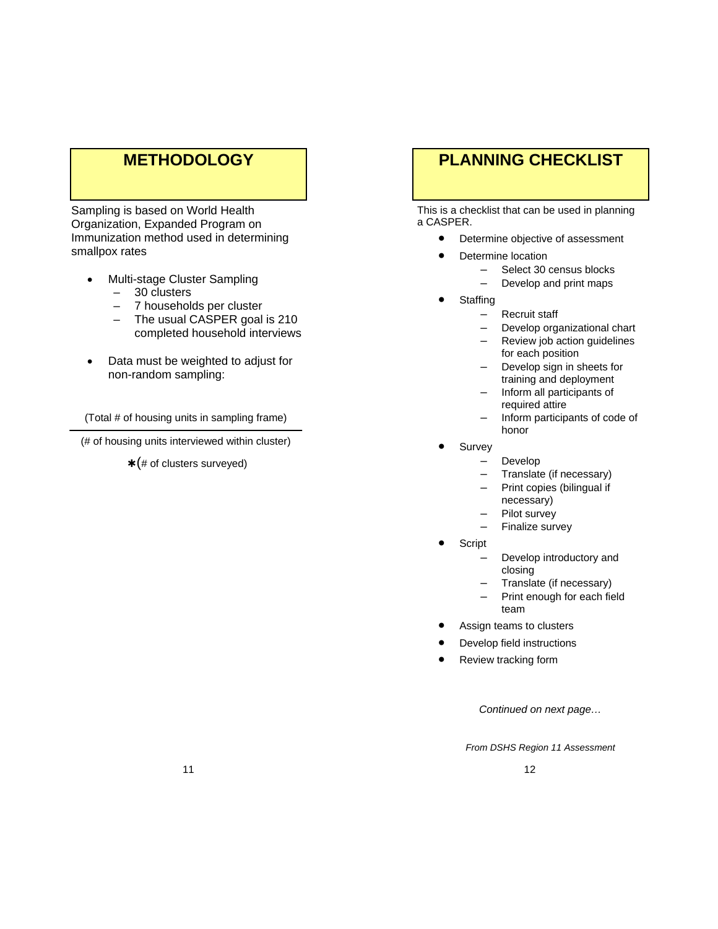# **METHODOLOGY**

Sampling is based on World Health Organization, Expanded Program on Immunization method used in determining smallpox rates

- Multi-stage Cluster Sampling
	- 30 clusters
	- 7 households per cluster
	- The usual CASPER goal is 210 completed household interviews
- Data must be weighted to adjust for non-random sampling:

(Total # of housing units in sampling frame)

(# of housing units interviewed within cluster)

 $*(\# \text{ of clusters surveyed})$ 

# **PLANNING CHECKLIST**

This is a checklist that can be used in planning a CASPER.

- Determine objective of assessment
- Determine location
	- Select 30 census blocks
		- Develop and print maps
- **•** Staffing
	- Recruit staff
	- Develop organizational chart
	- Review job action guidelines for each position
	- Develop sign in sheets for training and deployment
	- Inform all participants of required attire
	- Inform participants of code of honor
	- Survey
		- Develop
		- Translate (if necessary)
		- Print copies (bilingual if necessary)
		- Pilot survey
		- Finalize survey
- Script
	- Develop introductory and closing
	- Translate (if necessary)
	- Print enough for each field team
- Assign teams to clusters
- Develop field instructions
- Review tracking form

*Continued on next page…* 

*From DSHS Region 11 Assessment*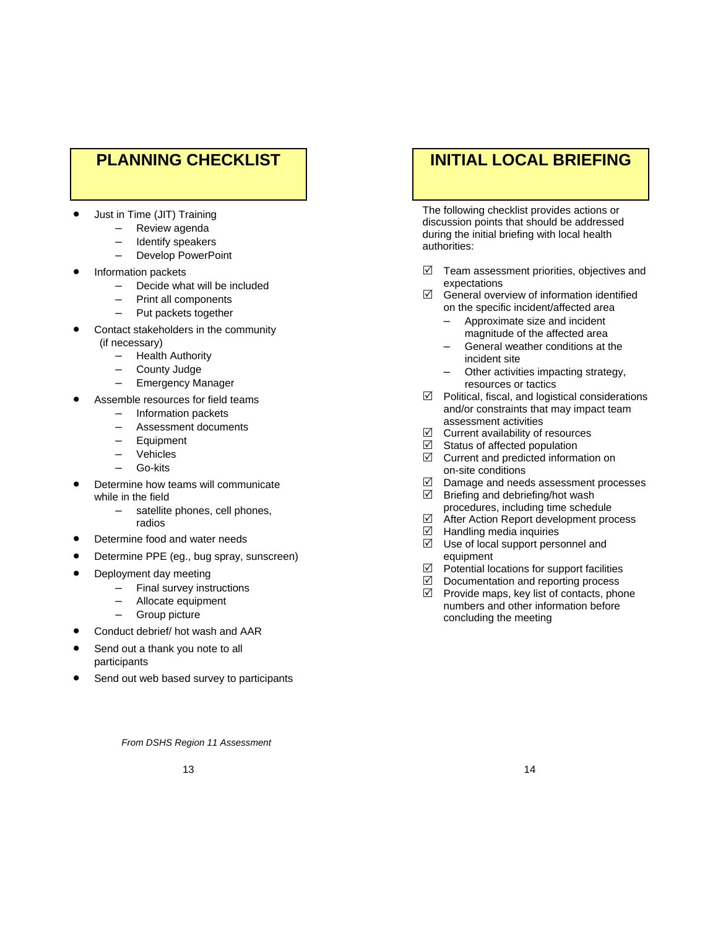# **PLANNING CHECKLIST**

- Just in Time (JIT) Training
	- Review agenda
	- Identify speakers
	- Develop PowerPoint
- Information packets
	- Decide what will be included
	- Print all components
	- Put packets together
- Contact stakeholders in the community
	- (if necessary)
		- Health Authority
		- County Judge
		- Emergency Manager
- Assemble resources for field teams
	- Information packets
	- Assessment documents
	- **Equipment**
	- Vehicles
	- Go-kits
- Determine how teams will communicate while in the field
	- satellite phones, cell phones, radios
	- Determine food and water needs
- Determine PPE (eg., bug spray, sunscreen)
- Deployment day meeting
	- Final survey instructions
	- Allocate equipment
	- Group picture
- Conduct debrief/ hot wash and AAR
- Send out a thank you note to all participants
- Send out web based survey to participants

# **INITIAL LOCAL BRIEFING**

The following checklist provides actions or discussion points that should be addressed during the initial briefing with local health authorities:

- $\boxtimes$  Team assessment priorities, objectives and expectations
- $\boxtimes$  General overview of information identified on the specific incident/affected area
	- Approximate size and incident magnitude of the affected area
	- General weather conditions at the incident site
	- Other activities impacting strategy, resources or tactics
- $\boxtimes$  Political, fiscal, and logistical considerations and/or constraints that may impact team assessment activities
- $\boxtimes$  Current availability of resources<br> $\boxtimes$  Status of affected population
- Status of affected population
- $\boxtimes$  Current and predicted information on on-site conditions<br>
○ Damage and need
- Damage and needs assessment processes
- $\boxtimes$  Briefing and debriefing/hot wash
	- procedures, including time schedule<br> **In After Action Report development pro**  $\boxtimes$  After Action Report development process  $\boxtimes$  Handling media inquiries
- Handling media inquiries
- $\boxdot$  Use of local support personnel and
- equipment<br>Potential lo  $\boxtimes$  Potential locations for support facilities  $\boxtimes$  Documentation and reporting process
- $\boxtimes$  Documentation and reporting process  $\boxtimes$  Provide maps. kev list of contacts, pho
- Provide maps, key list of contacts, phone numbers and other information before concluding the meeting

*From DSHS Region 11 Assessment*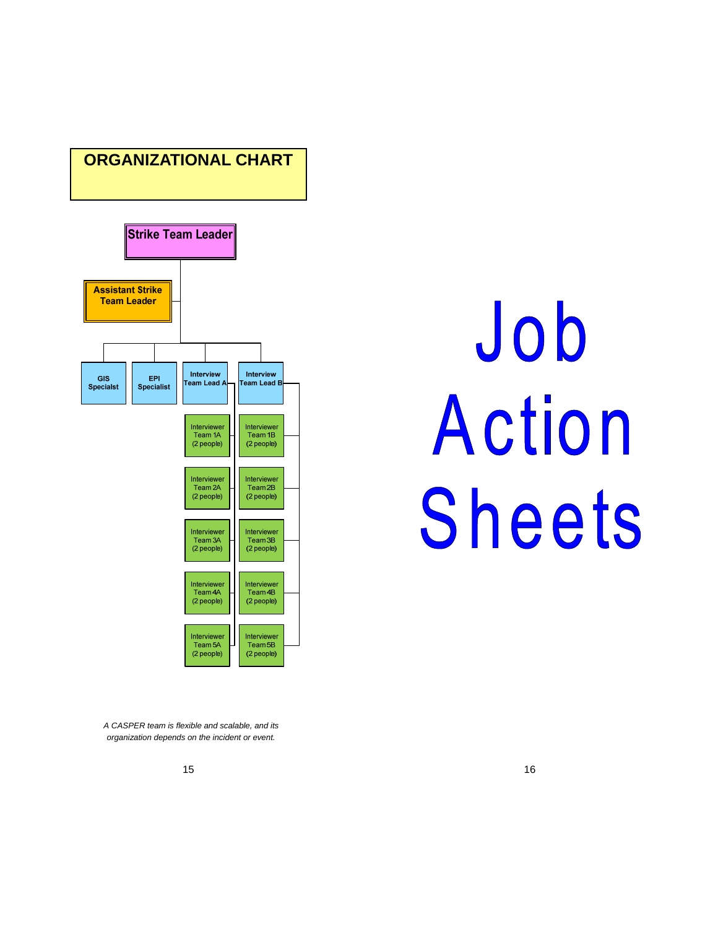# **ORGANIZATIONAL CHART**



# Job Action Sheets

*A CASPER team is flexible and scalable, and its organization depends on the incident or event.*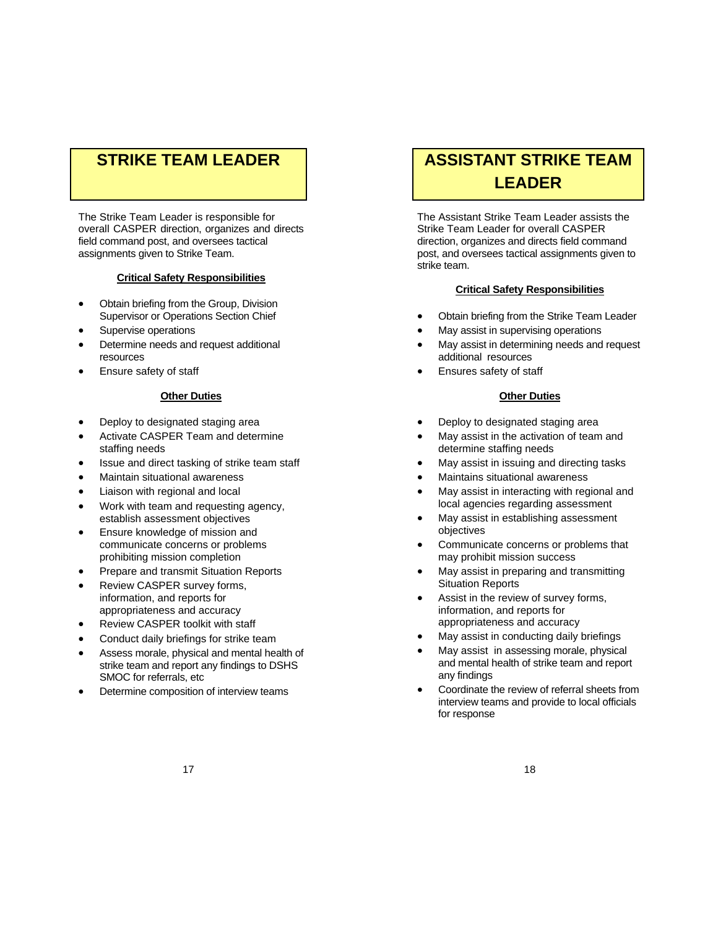# **STRIKE TEAM LEADER**

The Strike Team Leader is responsible for overall CASPER direction, organizes and directs field command post, and oversees tactical assignments given to Strike Team.

### **Critical Safety Responsibilities**

- Obtain briefing from the Group, Division Supervisor or Operations Section Chief
- Supervise operations
- Determine needs and request additional resources
- Ensure safety of staff

### **Other Duties**

- Deploy to designated staging area
- Activate CASPER Team and determine staffing needs
- Issue and direct tasking of strike team staff
- Maintain situational awareness
- Liaison with regional and local
- Work with team and requesting agency, establish assessment objectives
- Ensure knowledge of mission and communicate concerns or problems prohibiting mission completion
- Prepare and transmit Situation Reports
- Review CASPER survey forms, information, and reports for appropriateness and accuracy
- Review CASPER toolkit with staff
- Conduct daily briefings for strike team
- Assess morale, physical and mental health of strike team and report any findings to DSHS SMOC for referrals, etc
- Determine composition of interview teams

# **ASSISTANT STRIKE TEAM LEADER**

The Assistant Strike Team Leader assists the Strike Team Leader for overall CASPER direction, organizes and directs field command post, and oversees tactical assignments given to strike team.

### **Critical Safety Responsibilities**

- Obtain briefing from the Strike Team Leader
- May assist in supervising operations
- May assist in determining needs and request additional resources
- Ensures safety of staff

### **Other Duties**

- Deploy to designated staging area
- May assist in the activation of team and determine staffing needs
- May assist in issuing and directing tasks
- Maintains situational awareness
- May assist in interacting with regional and local agencies regarding assessment
- May assist in establishing assessment objectives
- Communicate concerns or problems that may prohibit mission success
- May assist in preparing and transmitting Situation Reports
- Assist in the review of survey forms, information, and reports for appropriateness and accuracy
- May assist in conducting daily briefings
- May assist in assessing morale, physical and mental health of strike team and report any findings
- Coordinate the review of referral sheets from interview teams and provide to local officials for response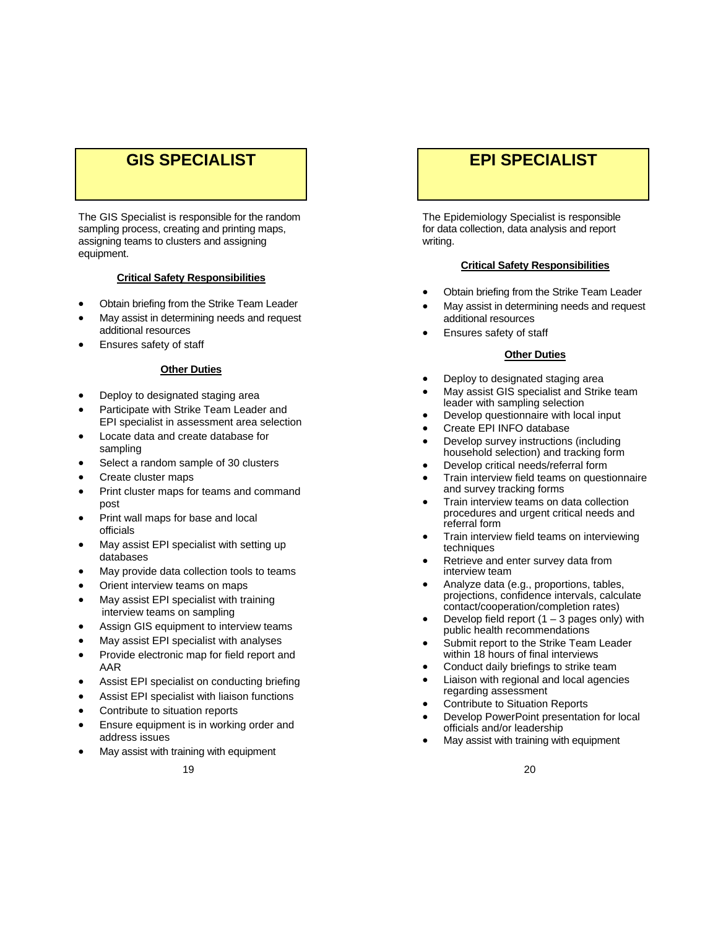# **GIS SPECIALIST**

The GIS Specialist is responsible for the random sampling process, creating and printing maps, assigning teams to clusters and assigning equipment.

### **Critical Safety Responsibilities**

- Obtain briefing from the Strike Team Leader
- May assist in determining needs and request additional resources
- Ensures safety of staff

### **Other Duties**

- Deploy to designated staging area
- Participate with Strike Team Leader and EPI specialist in assessment area selection
- Locate data and create database for sampling
- Select a random sample of 30 clusters
- Create cluster maps
- Print cluster maps for teams and command post
- Print wall maps for base and local officials
- May assist EPI specialist with setting up databases
- May provide data collection tools to teams
- Orient interview teams on maps
- May assist EPI specialist with training interview teams on sampling
- Assign GIS equipment to interview teams
- May assist EPI specialist with analyses
- Provide electronic map for field report and AAR
- Assist EPI specialist on conducting briefing
- Assist EPI specialist with liaison functions
- Contribute to situation reports
- Ensure equipment is in working order and address issues
- May assist with training with equipment

# **EPI SPECIALIST**

The Epidemiology Specialist is responsible for data collection, data analysis and report writing.

### **Critical Safety Responsibilities**

- Obtain briefing from the Strike Team Leader
- May assist in determining needs and request additional resources
- Ensures safety of staff

### **Other Duties**

- Deploy to designated staging area
- May assist GIS specialist and Strike team leader with sampling selection
- Develop questionnaire with local input
- Create EPI INFO database
- Develop survey instructions (including household selection) and tracking form
- Develop critical needs/referral form
- Train interview field teams on questionnaire and survey tracking forms
- Train interview teams on data collection procedures and urgent critical needs and referral form
- Train interview field teams on interviewing techniques
- Retrieve and enter survey data from interview team
- Analyze data (e.g., proportions, tables, projections, confidence intervals, calculate contact/cooperation/completion rates)
- Develop field report  $(1 3$  pages only) with public health recommendations
- Submit report to the Strike Team Leader within 18 hours of final interviews
- Conduct daily briefings to strike team
- Liaison with regional and local agencies regarding assessment
- Contribute to Situation Reports
- Develop PowerPoint presentation for local officials and/or leadership
- May assist with training with equipment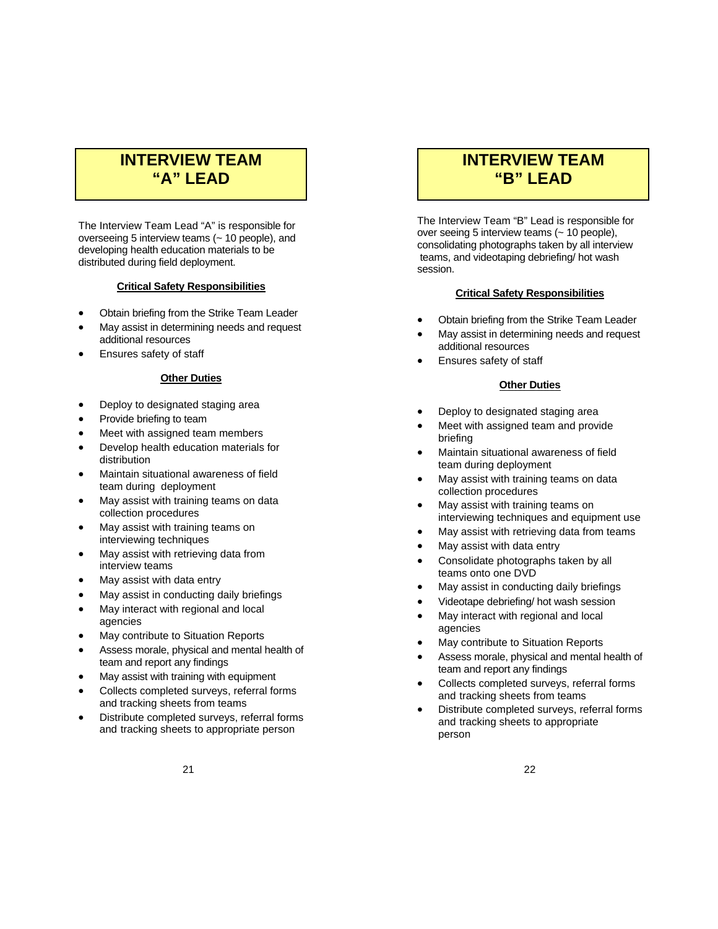# **INTERVIEW TEAM "A" LEAD**

The Interview Team Lead "A" is responsible for overseeing 5 interview teams (~ 10 people), and developing health education materials to be distributed during field deployment.

### **Critical Safety Responsibilities**

- Obtain briefing from the Strike Team Leader
- May assist in determining needs and request additional resources
- Ensures safety of staff

### **Other Duties**

- Deploy to designated staging area
- Provide briefing to team
- Meet with assigned team members
- Develop health education materials for distribution
- Maintain situational awareness of field team during deployment
- May assist with training teams on data collection procedures
- May assist with training teams on interviewing techniques
- May assist with retrieving data from interview teams
- May assist with data entry
- May assist in conducting daily briefings
- May interact with regional and local
- agencies
- May contribute to Situation Reports
- Assess morale, physical and mental health of team and report any findings
- May assist with training with equipment
- Collects completed surveys, referral forms and tracking sheets from teams
- Distribute completed surveys, referral forms and tracking sheets to appropriate person

# **INTERVIEW TEAM "B" LEAD**

The Interview Team "B" Lead is responsible for over seeing 5 interview teams (~ 10 people), consolidating photographs taken by all interview teams, and videotaping debriefing/ hot wash session.

### **Critical Safety Responsibilities**

- Obtain briefing from the Strike Team Leader
- May assist in determining needs and request additional resources
- Ensures safety of staff

### **Other Duties**

- Deploy to designated staging area
- Meet with assigned team and provide briefing
- Maintain situational awareness of field team during deployment
- May assist with training teams on data collection procedures
- May assist with training teams on interviewing techniques and equipment use
- May assist with retrieving data from teams
- May assist with data entry
- Consolidate photographs taken by all teams onto one DVD
- May assist in conducting daily briefings
- Videotape debriefing/ hot wash session
- May interact with regional and local agencies
- May contribute to Situation Reports
- Assess morale, physical and mental health of team and report any findings
- Collects completed surveys, referral forms and tracking sheets from teams
- Distribute completed surveys, referral forms and tracking sheets to appropriate person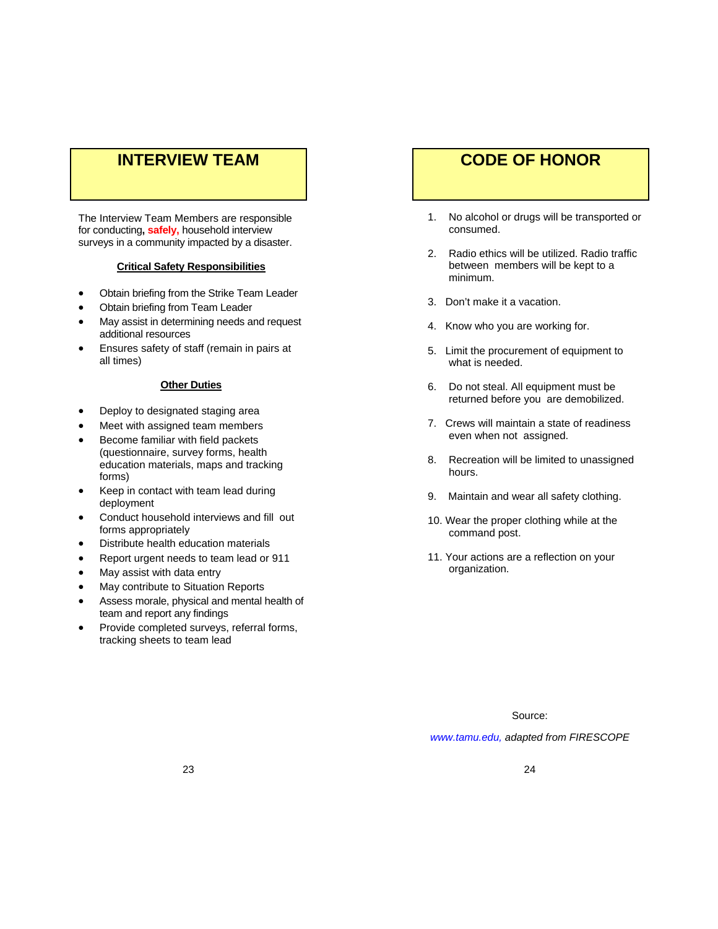# **INTERVIEW TEAM**

The Interview Team Members are responsible for conducting**, safely,** household interview surveys in a community impacted by a disaster.

### **Critical Safety Responsibilities**

- Obtain briefing from the Strike Team Leader
- Obtain briefing from Team Leader
- May assist in determining needs and request additional resources
- Ensures safety of staff (remain in pairs at all times)

### **Other Duties**

- Deploy to designated staging area
- Meet with assigned team members
- Become familiar with field packets (questionnaire, survey forms, health education materials, maps and tracking forms)
- Keep in contact with team lead during deployment
- Conduct household interviews and fill out forms appropriately
- Distribute health education materials
- Report urgent needs to team lead or 911
- May assist with data entry
- May contribute to Situation Reports
- Assess morale, physical and mental health of team and report any findings
- Provide completed surveys, referral forms, tracking sheets to team lead

# **CODE OF HONOR**

- 1. No alcohol or drugs will be transported or consumed.
- 2. Radio ethics will be utilized. Radio traffic between members will be kept to a minimum.
- 3. Don't make it a vacation.
- 4. Know who you are working for.
- 5. Limit the procurement of equipment to what is needed.
- 6. Do not steal. All equipment must be returned before you are demobilized.
- 7. Crews will maintain a state of readiness even when not assigned.
- 8. Recreation will be limited to unassigned hours.
- 9. Maintain and wear all safety clothing.
- 10. Wear the proper clothing while at the command post.
- 11. Your actions are a reflection on your organization.

Source:

*www.tamu.edu, adapted from FIRESCOPE*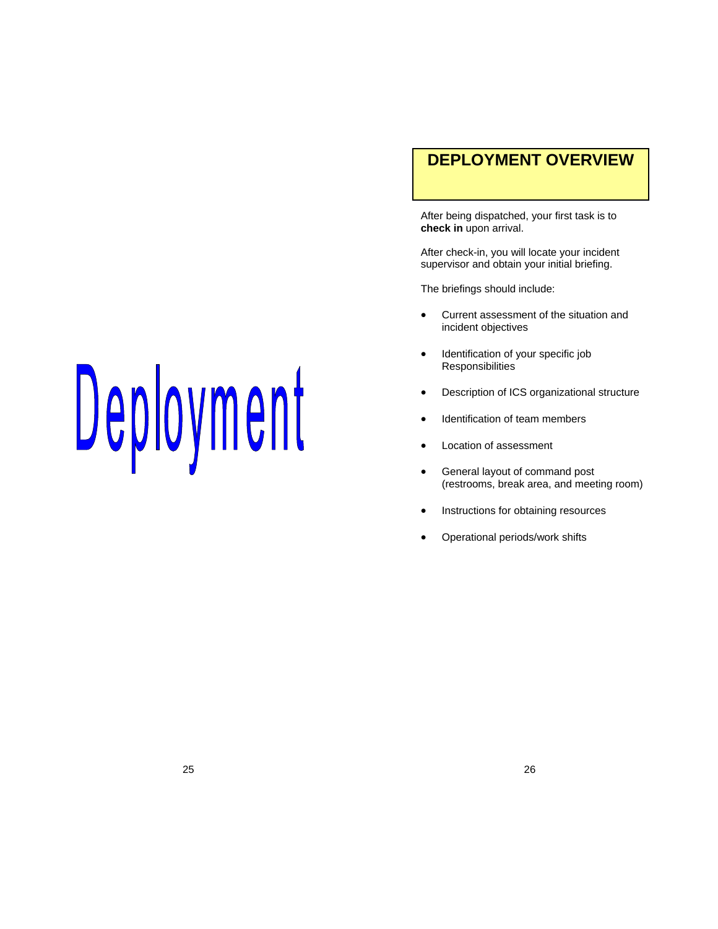# **DEPLOYMENT OVERVIEW**

After being dispatched, your first task is to **check in** upon arrival.

After check-in, you will locate your incident supervisor and obtain your initial briefing.

The briefings should include:

- Current assessment of the situation and incident objectives
- Identification of your specific job Responsibilities
- Description of ICS organizational structure
- Identification of team members
- Location of assessment
- General layout of command post (restrooms, break area, and meeting room)
- Instructions for obtaining resources
- Operational periods/work shifts

# Deployment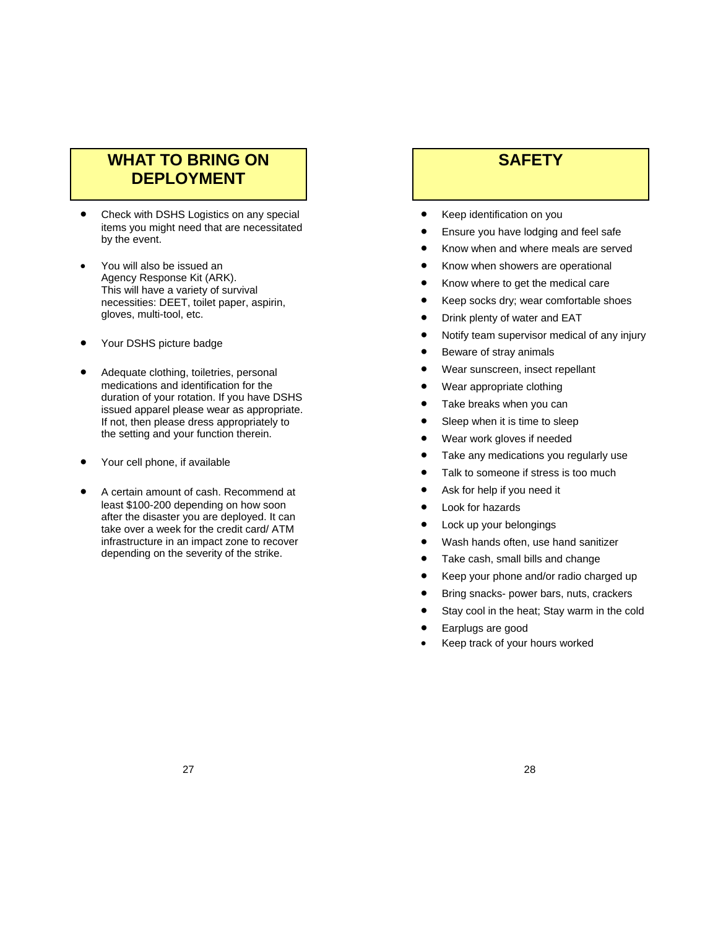# **WHAT TO BRING ON DEPLOYMENT**

- Check with DSHS Logistics on any special items you might need that are necessitated by the event.
- You will also be issued an Agency Response Kit (ARK). This will have a variety of survival necessities: DEET, toilet paper, aspirin, gloves, multi-tool, etc.
- Your DSHS picture badge
- Adequate clothing, toiletries, personal medications and identification for the duration of your rotation. If you have DSHS issued apparel please wear as appropriate. If not, then please dress appropriately to the setting and your function therein.
- Your cell phone, if available
- A certain amount of cash. Recommend at least \$100-200 depending on how soon after the disaster you are deployed. It can take over a week for the credit card/ ATM infrastructure in an impact zone to recover depending on the severity of the strike.

# **SAFETY**

- Keep identification on you
- Ensure you have lodging and feel safe
- Know when and where meals are served
- Know when showers are operational
- Know where to get the medical care
- Keep socks dry; wear comfortable shoes
- Drink plenty of water and EAT
- Notify team supervisor medical of any injury
- Beware of stray animals
- Wear sunscreen, insect repellant
- Wear appropriate clothing
- Take breaks when you can
- Sleep when it is time to sleep
- Wear work gloves if needed
- Take any medications you regularly use
- Talk to someone if stress is too much
- Ask for help if you need it
- Look for hazards
- Lock up your belongings
- Wash hands often, use hand sanitizer
- Take cash, small bills and change
- Keep your phone and/or radio charged up
- Bring snacks- power bars, nuts, crackers
- Stay cool in the heat; Stay warm in the cold
- Earplugs are good
- Keep track of your hours worked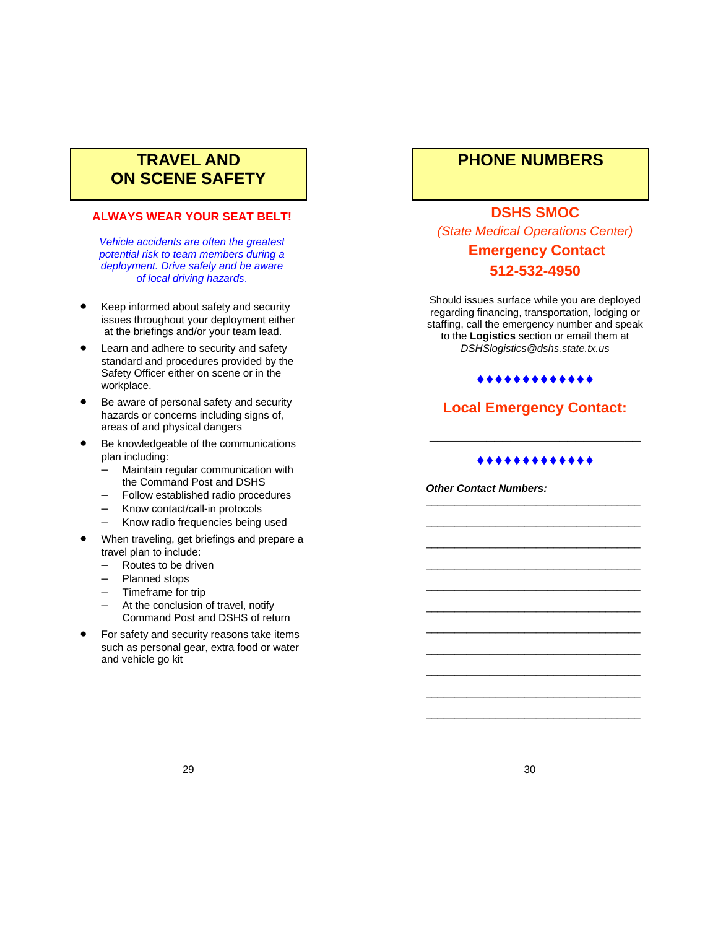# **TRAVEL AND ON SCENE SAFETY**

### **ALWAYS WEAR YOUR SEAT BELT!**

*Vehicle accidents are often the greatest potential risk to team members during a deployment. Drive safely and be aware of local driving hazards*.

- Keep informed about safety and security issues throughout your deployment either at the briefings and/or your team lead.
- Learn and adhere to security and safety standard and procedures provided by the Safety Officer either on scene or in the workplace.
- Be aware of personal safety and security hazards or concerns including signs of. areas of and physical dangers
- Be knowledgeable of the communications plan including:
	- Maintain regular communication with the Command Post and DSHS
	- Follow established radio procedures
	- Know contact/call-in protocols
	- Know radio frequencies being used
- When traveling, get briefings and prepare a travel plan to include:
	- Routes to be driven
	- Planned stops
	- Timeframe for trip
	- At the conclusion of travel, notify Command Post and DSHS of return
- For safety and security reasons take items such as personal gear, extra food or water and vehicle go kit

# **PHONE NUMBERS**

### **DSHS SMOC**

*(State Medical Operations Center)* 

# **Emergency Contact 512-532-4950**

Should issues surface while you are deployed regarding financing, transportation, lodging or staffing, call the emergency number and speak to the **Logistics** section or email them at *DSHSlogistics@dshs.state.tx.us* 

### \*\*\*\*\*\*\*\*\*\*\*\*\*

## **Local Emergency Contact:**

### .............

\_\_\_\_\_\_\_\_\_\_\_\_\_\_\_\_\_\_\_\_\_\_\_\_\_\_\_\_\_\_\_\_\_\_\_\_\_ \_\_\_\_\_\_\_\_\_\_\_\_\_\_\_\_\_\_\_\_\_\_\_\_\_\_\_\_\_\_\_\_\_\_\_\_\_ \_\_\_\_\_\_\_\_\_\_\_\_\_\_\_\_\_\_\_\_\_\_\_\_\_\_\_\_\_\_\_\_\_\_\_\_\_ \_\_\_\_\_\_\_\_\_\_\_\_\_\_\_\_\_\_\_\_\_\_\_\_\_\_\_\_\_\_\_\_\_\_\_\_\_ \_\_\_\_\_\_\_\_\_\_\_\_\_\_\_\_\_\_\_\_\_\_\_\_\_\_\_\_\_\_\_\_\_\_\_\_\_ \_\_\_\_\_\_\_\_\_\_\_\_\_\_\_\_\_\_\_\_\_\_\_\_\_\_\_\_\_\_\_\_\_\_\_\_\_ \_\_\_\_\_\_\_\_\_\_\_\_\_\_\_\_\_\_\_\_\_\_\_\_\_\_\_\_\_\_\_\_\_\_\_\_\_ \_\_\_\_\_\_\_\_\_\_\_\_\_\_\_\_\_\_\_\_\_\_\_\_\_\_\_\_\_\_\_\_\_\_\_\_\_ \_\_\_\_\_\_\_\_\_\_\_\_\_\_\_\_\_\_\_\_\_\_\_\_\_\_\_\_\_\_\_\_\_\_\_\_\_ \_\_\_\_\_\_\_\_\_\_\_\_\_\_\_\_\_\_\_\_\_\_\_\_\_\_\_\_\_\_\_\_\_\_\_\_\_ \_\_\_\_\_\_\_\_\_\_\_\_\_\_\_\_\_\_\_\_\_\_\_\_\_\_\_\_\_\_\_\_\_\_\_\_\_

**\_\_\_\_\_\_\_\_\_\_\_\_\_\_\_\_\_\_\_\_\_\_\_\_\_\_** 

*Other Contact Numbers:*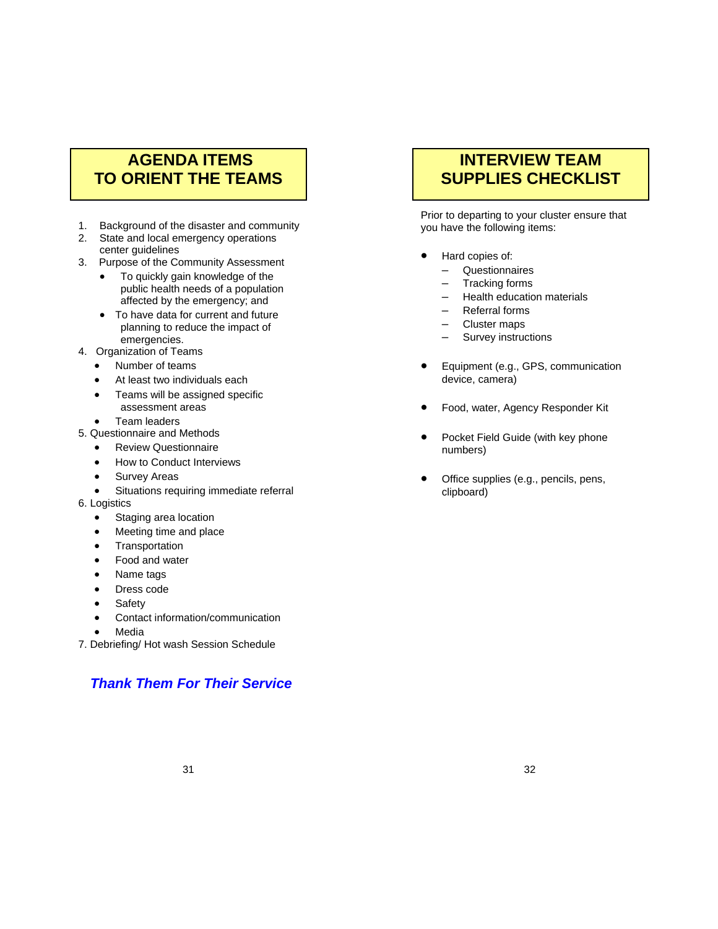# **AGENDA ITEMS TO ORIENT THE TEAMS**

- 1. Background of the disaster and community
- 2. State and local emergency operations center guidelines
- 3. Purpose of the Community Assessment
	- To quickly gain knowledge of the public health needs of a population affected by the emergency; and
	- To have data for current and future planning to reduce the impact of emergencies.
- 4. Organization of Teams
	- Number of teams
	- At least two individuals each
	- Teams will be assigned specific assessment areas
	- Team leaders
- 5. Questionnaire and Methods
	- Review Questionnaire
	- How to Conduct Interviews
	- Survey Areas
	- Situations requiring immediate referral
- 6. Logistics
	- Staging area location
	- Meeting time and place
	- **Transportation**
	- Food and water
	- Name tags
	- Dress code
	- Safety
	- Contact information/communication
	- Media
- 7. Debriefing/ Hot wash Session Schedule

# *Thank Them For Their Service*

# **INTERVIEW TEAM SUPPLIES CHECKLIST**

Prior to departing to your cluster ensure that you have the following items:

- Hard copies of:
	- Questionnaires
	- Tracking forms
	- Health education materials
	- Referral forms
	- Cluster maps
	- Survey instructions
- Equipment (e.g., GPS, communication device, camera)
- Food, water, Agency Responder Kit
- Pocket Field Guide (with key phone numbers)
- Office supplies (e.g., pencils, pens, clipboard)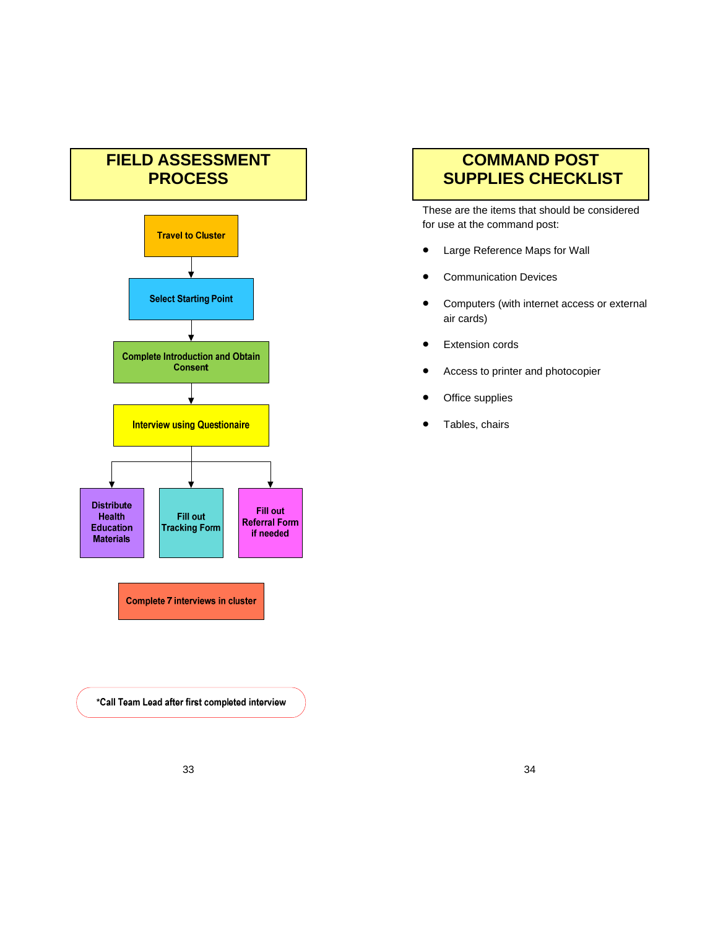# **FIELD ASSESSMENT PROCESS**



**Complete 7 interviews in cluster** 

\*Call Team Lead after first completed interview

# **COMMAND POST SUPPLIES CHECKLIST**

These are the items that should be considered for use at the command post:

- Large Reference Maps for Wall
- Communication Devices
- Computers (with internet access or external air cards)
- **•** Extension cords
- Access to printer and photocopier
- Office supplies
- Tables, chairs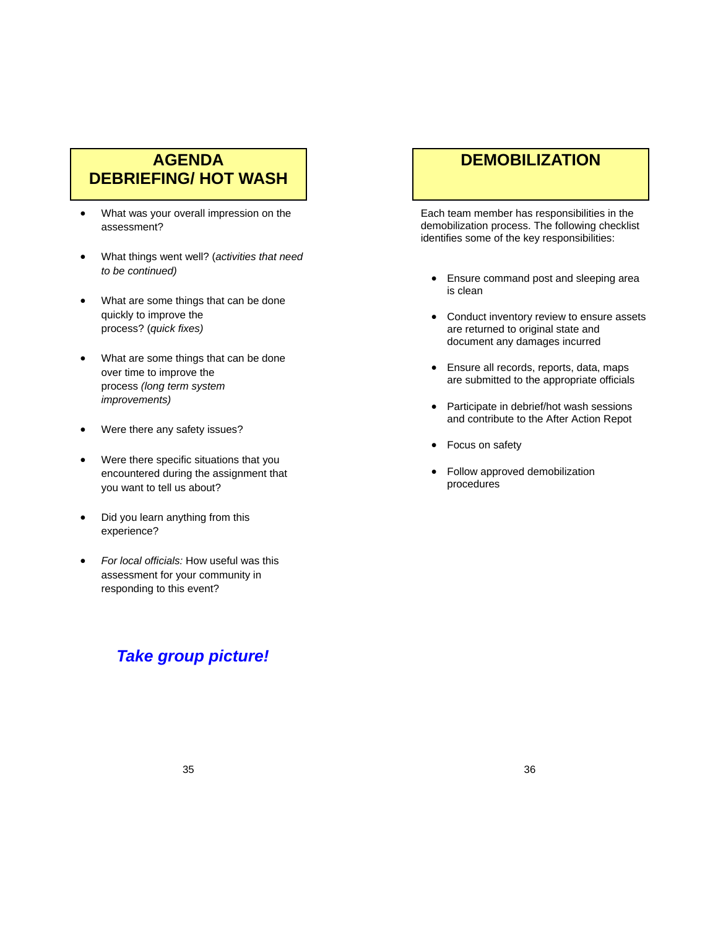# **AGENDA DEBRIEFING/ HOT WASH**

- What was your overall impression on the assessment?
- What things went well? (*activities that need to be continued)*
- What are some things that can be done quickly to improve the process? (*quick fixes)*
- What are some things that can be done over time to improve the process *(long term system improvements)*
- Were there any safety issues?
- Were there specific situations that you encountered during the assignment that you want to tell us about?
- Did you learn anything from this experience?
- *For local officials:* How useful was this assessment for your community in responding to this event?

# *Take group picture!*

# **DEMOBILIZATION**

Each team member has responsibilities in the demobilization process. The following checklist identifies some of the key responsibilities:

- Ensure command post and sleeping area is clean
- Conduct inventory review to ensure assets are returned to original state and document any damages incurred
- Ensure all records, reports, data, maps are submitted to the appropriate officials
- Participate in debrief/hot wash sessions and contribute to the After Action Repot
- Focus on safety
- Follow approved demobilization procedures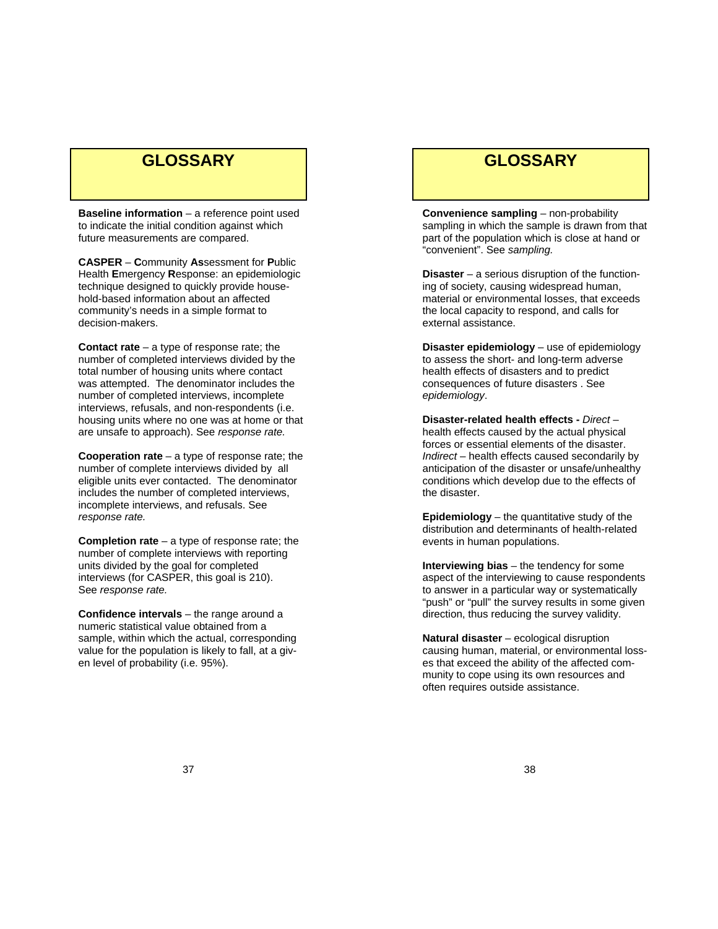# **GLOSSARY**

**Baseline information** – a reference point used to indicate the initial condition against which future measurements are compared.

**CASPER** – **C**ommunity **As**sessment for **P**ublic Health **E**mergency **R**esponse: an epidemiologic technique designed to quickly provide household-based information about an affected community's needs in a simple format to decision-makers.

**Contact rate** – a type of response rate; the number of completed interviews divided by the total number of housing units where contact was attempted. The denominator includes the number of completed interviews, incomplete interviews, refusals, and non-respondents (i.e. housing units where no one was at home or that are unsafe to approach). See *response rate.*

**Cooperation rate** – a type of response rate; the number of complete interviews divided by all eligible units ever contacted. The denominator includes the number of completed interviews, incomplete interviews, and refusals. See *response rate.*

**Completion rate** – a type of response rate; the number of complete interviews with reporting units divided by the goal for completed interviews (for CASPER, this goal is 210). See *response rate.*

**Confidence intervals** – the range around a numeric statistical value obtained from a sample, within which the actual, corresponding value for the population is likely to fall, at a given level of probability (i.e. 95%).

# **GLOSSARY**

**Convenience sampling** – non-probability sampling in which the sample is drawn from that part of the population which is close at hand or "convenient". See *sampling.* 

**Disaster** – a serious disruption of the functioning of society, causing widespread human, material or environmental losses, that exceeds the local capacity to respond, and calls for external assistance.

**Disaster epidemiology** – use of epidemiology to assess the short- and long-term adverse health effects of disasters and to predict consequences of future disasters . See *epidemiology*.

**Disaster-related health effects -** *Direct* – health effects caused by the actual physical forces or essential elements of the disaster. *Indirect* – health effects caused secondarily by anticipation of the disaster or unsafe/unhealthy conditions which develop due to the effects of the disaster.

**Epidemiology** – the quantitative study of the distribution and determinants of health-related events in human populations.

**Interviewing bias** – the tendency for some aspect of the interviewing to cause respondents to answer in a particular way or systematically "push" or "pull" the survey results in some given direction, thus reducing the survey validity.

**Natural disaster** – ecological disruption causing human, material, or environmental losses that exceed the ability of the affected community to cope using its own resources and often requires outside assistance.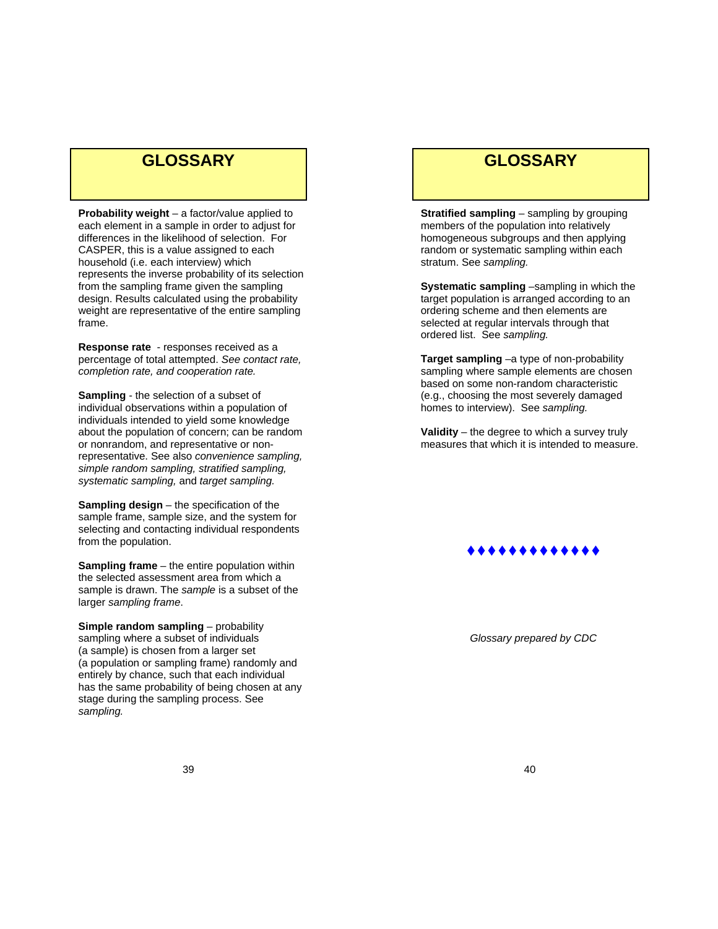# **GLOSSARY**

**Probability weight** – a factor/value applied to each element in a sample in order to adjust for differences in the likelihood of selection. For CASPER, this is a value assigned to each household (i.e. each interview) which represents the inverse probability of its selection from the sampling frame given the sampling design. Results calculated using the probability weight are representative of the entire sampling frame.

**Response rate** - responses received as a percentage of total attempted. *See contact rate, completion rate, and cooperation rate.*

**Sampling** - the selection of a subset of individual observations within a population of individuals intended to yield some knowledge about the population of concern; can be random or nonrandom, and representative or nonrepresentative. See also *convenience sampling, simple random sampling, stratified sampling, systematic sampling,* and *target sampling.* 

**Sampling design** – the specification of the sample frame, sample size, and the system for selecting and contacting individual respondents from the population.

**Sampling frame** – the entire population within the selected assessment area from which a sample is drawn. The *sample* is a subset of the larger *sampling frame*.

**Simple random sampling** – probability sampling where a subset of individuals (a sample) is chosen from a larger set (a population or sampling frame) randomly and entirely by chance, such that each individual has the same probability of being chosen at any stage during the sampling process. See *sampling.*

# **GLOSSARY**

**Stratified sampling** – sampling by grouping members of the population into relatively homogeneous subgroups and then applying random or systematic sampling within each stratum. See *sampling.*

**Systematic sampling** –sampling in which the target population is arranged according to an ordering scheme and then elements are selected at regular intervals through that ordered list. See *sampling.*

**Target sampling** –a type of non-probability sampling where sample elements are chosen based on some non-random characteristic (e.g., choosing the most severely damaged homes to interview). See *sampling.*

**Validity** – the degree to which a survey truly measures that which it is intended to measure.



*Glossary prepared by CDC*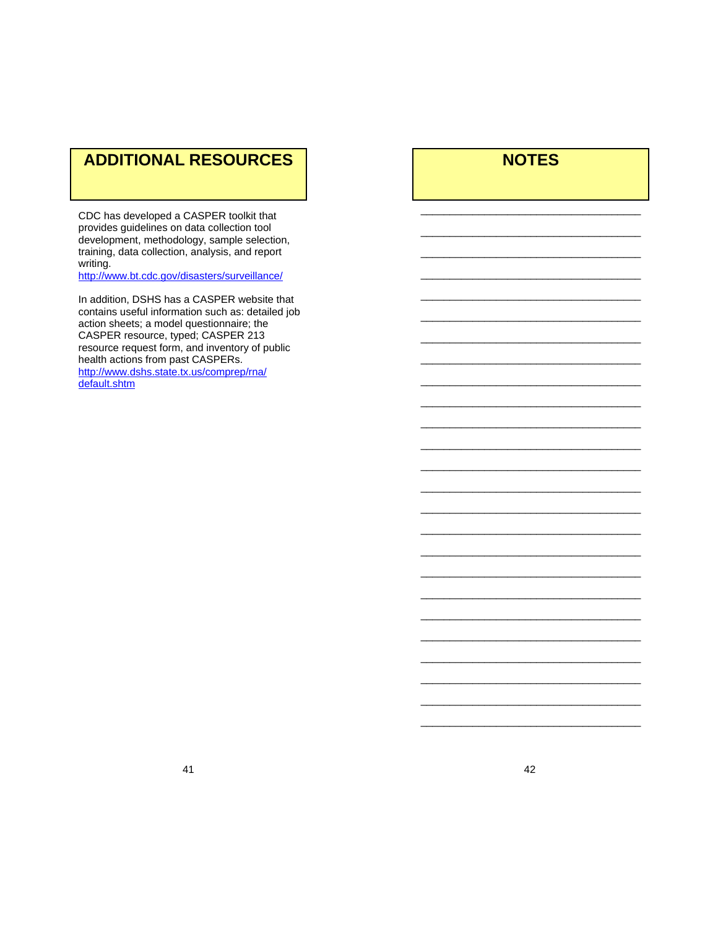# **ADDITIONAL RESOURCES**

CDC has developed a CASPER toolkit that provides guidelines on data collection tool development, methodology, sample selection, training, data collection, analysis, and report writing.

http://www.bt.cdc.gov/disasters/surveillance/

In addition, DSHS has a CASPER website that contains useful information such as: detailed job action sheets; a model questionnaire; the CASPER resource, typed; CASPER 213 resource request form, and inventory of public health actions from past CASPERs. http://www.dshs.state.tx.us/comprep/rna/ default.shtm

# **NOTES**

\_\_\_\_\_\_\_\_\_\_\_\_\_\_\_\_\_\_\_\_\_\_\_\_\_\_\_\_\_\_\_\_\_\_\_\_\_\_ \_\_\_\_\_\_\_\_\_\_\_\_\_\_\_\_\_\_\_\_\_\_\_\_\_\_\_\_\_\_\_\_\_\_\_\_\_\_ \_\_\_\_\_\_\_\_\_\_\_\_\_\_\_\_\_\_\_\_\_\_\_\_\_\_\_\_\_\_\_\_\_\_\_\_\_\_ \_\_\_\_\_\_\_\_\_\_\_\_\_\_\_\_\_\_\_\_\_\_\_\_\_\_\_\_\_\_\_\_\_\_\_\_\_\_ \_\_\_\_\_\_\_\_\_\_\_\_\_\_\_\_\_\_\_\_\_\_\_\_\_\_\_\_\_\_\_\_\_\_\_\_\_\_ \_\_\_\_\_\_\_\_\_\_\_\_\_\_\_\_\_\_\_\_\_\_\_\_\_\_\_\_\_\_\_\_\_\_\_\_\_\_ \_\_\_\_\_\_\_\_\_\_\_\_\_\_\_\_\_\_\_\_\_\_\_\_\_\_\_\_\_\_\_\_\_\_\_\_\_\_ \_\_\_\_\_\_\_\_\_\_\_\_\_\_\_\_\_\_\_\_\_\_\_\_\_\_\_\_\_\_\_\_\_\_\_\_\_\_ \_\_\_\_\_\_\_\_\_\_\_\_\_\_\_\_\_\_\_\_\_\_\_\_\_\_\_\_\_\_\_\_\_\_\_\_\_\_ \_\_\_\_\_\_\_\_\_\_\_\_\_\_\_\_\_\_\_\_\_\_\_\_\_\_\_\_\_\_\_\_\_\_\_\_\_\_ \_\_\_\_\_\_\_\_\_\_\_\_\_\_\_\_\_\_\_\_\_\_\_\_\_\_\_\_\_\_\_\_\_\_\_\_\_\_ \_\_\_\_\_\_\_\_\_\_\_\_\_\_\_\_\_\_\_\_\_\_\_\_\_\_\_\_\_\_\_\_\_\_\_\_\_\_ \_\_\_\_\_\_\_\_\_\_\_\_\_\_\_\_\_\_\_\_\_\_\_\_\_\_\_\_\_\_\_\_\_\_\_\_\_\_ \_\_\_\_\_\_\_\_\_\_\_\_\_\_\_\_\_\_\_\_\_\_\_\_\_\_\_\_\_\_\_\_\_\_\_\_\_\_ \_\_\_\_\_\_\_\_\_\_\_\_\_\_\_\_\_\_\_\_\_\_\_\_\_\_\_\_\_\_\_\_\_\_\_\_\_\_ \_\_\_\_\_\_\_\_\_\_\_\_\_\_\_\_\_\_\_\_\_\_\_\_\_\_\_\_\_\_\_\_\_\_\_\_\_\_ \_\_\_\_\_\_\_\_\_\_\_\_\_\_\_\_\_\_\_\_\_\_\_\_\_\_\_\_\_\_\_\_\_\_\_\_\_\_ \_\_\_\_\_\_\_\_\_\_\_\_\_\_\_\_\_\_\_\_\_\_\_\_\_\_\_\_\_\_\_\_\_\_\_\_\_\_ \_\_\_\_\_\_\_\_\_\_\_\_\_\_\_\_\_\_\_\_\_\_\_\_\_\_\_\_\_\_\_\_\_\_\_\_\_\_ \_\_\_\_\_\_\_\_\_\_\_\_\_\_\_\_\_\_\_\_\_\_\_\_\_\_\_\_\_\_\_\_\_\_\_\_\_\_ \_\_\_\_\_\_\_\_\_\_\_\_\_\_\_\_\_\_\_\_\_\_\_\_\_\_\_\_\_\_\_\_\_\_\_\_\_\_ \_\_\_\_\_\_\_\_\_\_\_\_\_\_\_\_\_\_\_\_\_\_\_\_\_\_\_\_\_\_\_\_\_\_\_\_\_\_ \_\_\_\_\_\_\_\_\_\_\_\_\_\_\_\_\_\_\_\_\_\_\_\_\_\_\_\_\_\_\_\_\_\_\_\_\_\_ \_\_\_\_\_\_\_\_\_\_\_\_\_\_\_\_\_\_\_\_\_\_\_\_\_\_\_\_\_\_\_\_\_\_\_\_\_\_ \_\_\_\_\_\_\_\_\_\_\_\_\_\_\_\_\_\_\_\_\_\_\_\_\_\_\_\_\_\_\_\_\_\_\_\_\_\_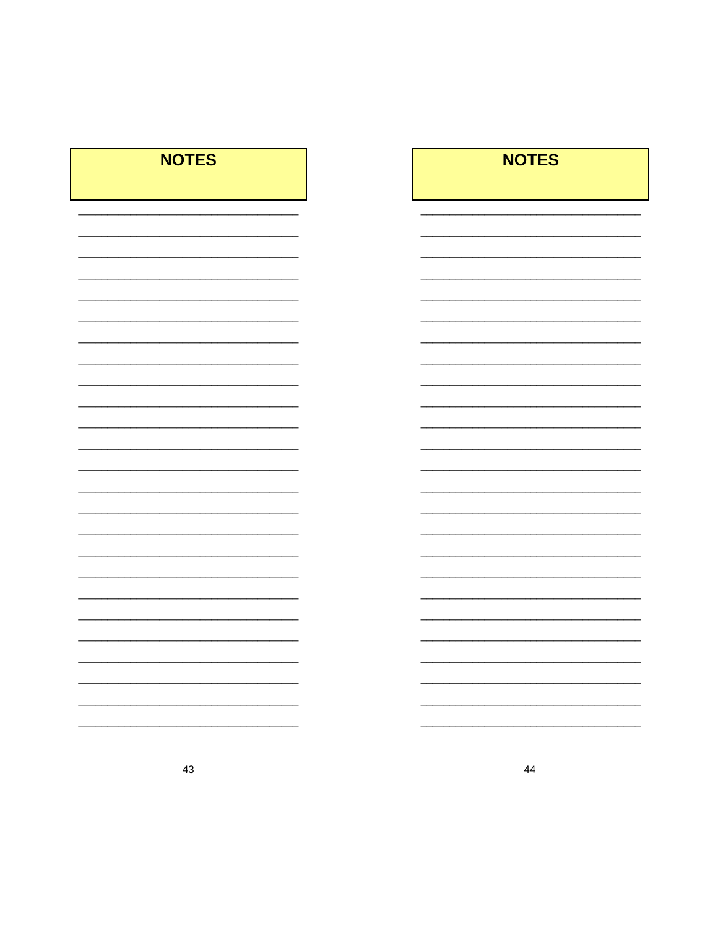| <b>NOTES</b> | <b>NOTES</b> |
|--------------|--------------|
|              |              |
|              |              |
|              |              |
|              |              |
|              |              |
|              |              |
|              |              |
|              |              |
|              |              |
|              |              |
|              |              |
|              |              |
|              |              |
|              |              |
|              |              |
|              |              |
|              |              |
|              |              |
|              |              |
|              |              |
|              |              |
|              |              |
|              |              |
|              |              |